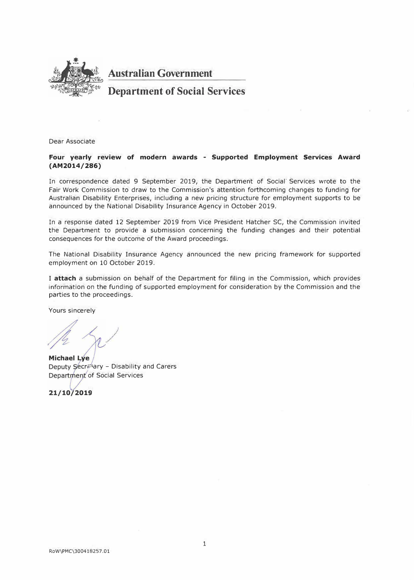

**Australian Government** 

# **Department of Social Services**

Dear Associate

#### **Four yearly review of modern awards - Supported Employment Services Award (AM2014/286}**

In correspondence dated 9 September 2019, the Department of Social" Services wrote to the Fair Work Commission to draw to the Commission's attention forthcoming changes to funding for Australian Disability Enterprises, including a new pricing structure for employment supports to be announced by the National Disability Insurance Agency in October 2019.

In a response dated 12 September 2019 from Vice President Hatcher SC, the Commission invited the Department to provide a submission concerning the funding changes and their potential consequences for the outcome of the Award proceedings.

The National Disability Insurance Agency announced the new pricing framework for supported employment on 10 October 2019.

I **attach** a submission on behalf of the Department for filing in the Commission, which provides information on the funding of supported employment for consideration by the Commission and the parties to the proceedings.

Yours sincerely

**Michael Lye** Deputy Secretary - Disability and Carers Department of Social Services

21/10/2019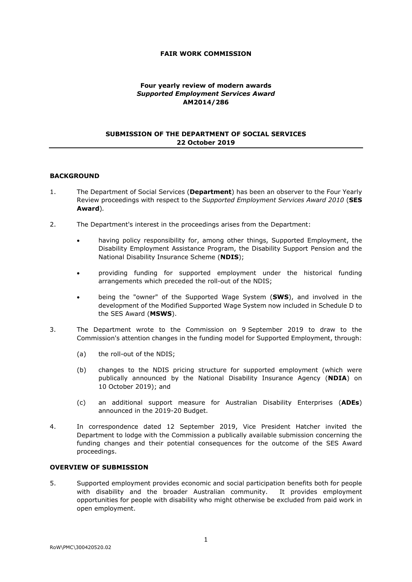#### **FAIR WORK COMMISSION**

#### **Four yearly review of modern awards**  *Supported Employment Services Award* **AM2014/286**

#### **SUBMISSION OF THE DEPARTMENT OF SOCIAL SERVICES 22 October 2019**

#### **BACKGROUND**

- 1. The Department of Social Services (**Department**) has been an observer to the Four Yearly Review proceedings with respect to the *Supported Employment Services Award 2010* (**SES Award**)*.*
- 2. The Department's interest in the proceedings arises from the Department:
	- having policy responsibility for, among other things, Supported Employment, the Disability Employment Assistance Program, the Disability Support Pension and the National Disability Insurance Scheme (**NDIS**);
	- providing funding for supported employment under the historical funding arrangements which preceded the roll-out of the NDIS;
	- being the "owner" of the Supported Wage System (**SWS**), and involved in the development of the Modified Supported Wage System now included in Schedule D to the SES Award (**MSWS**).
- 3. The Department wrote to the Commission on 9 September 2019 to draw to the Commission's attention changes in the funding model for Supported Employment, through:
	- (a) the roll-out of the NDIS;
	- (b) changes to the NDIS pricing structure for supported employment (which were publically announced by the National Disability Insurance Agency (**NDIA**) on 10 October 2019); and
	- (c) an additional support measure for Australian Disability Enterprises (**ADEs**) announced in the 2019-20 Budget.
- 4. In correspondence dated 12 September 2019, Vice President Hatcher invited the Department to lodge with the Commission a publically available submission concerning the funding changes and their potential consequences for the outcome of the SES Award proceedings.

#### **OVERVIEW OF SUBMISSION**

5. Supported employment provides economic and social participation benefits both for people with disability and the broader Australian community. It provides employment opportunities for people with disability who might otherwise be excluded from paid work in open employment.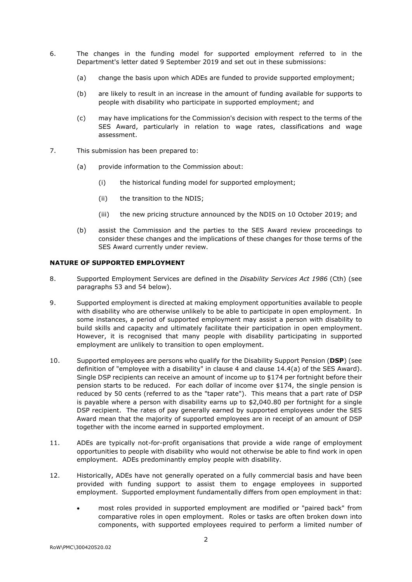- 6. The changes in the funding model for supported employment referred to in the Department's letter dated 9 September 2019 and set out in these submissions:
	- (a) change the basis upon which ADEs are funded to provide supported employment;
	- (b) are likely to result in an increase in the amount of funding available for supports to people with disability who participate in supported employment; and
	- (c) may have implications for the Commission's decision with respect to the terms of the SES Award, particularly in relation to wage rates, classifications and wage assessment.
- 7. This submission has been prepared to:
	- (a) provide information to the Commission about:
		- (i) the historical funding model for supported employment;
		- (ii) the transition to the NDIS;
		- (iii) the new pricing structure announced by the NDIS on 10 October 2019; and
	- (b) assist the Commission and the parties to the SES Award review proceedings to consider these changes and the implications of these changes for those terms of the SES Award currently under review.

#### **NATURE OF SUPPORTED EMPLOYMENT**

- 8. Supported Employment Services are defined in the *Disability Services Act 1986* (Cth) (see paragraphs [53](#page-7-0) and [54](#page-7-1) below).
- 9. Supported employment is directed at making employment opportunities available to people with disability who are otherwise unlikely to be able to participate in open employment. In some instances, a period of supported employment may assist a person with disability to build skills and capacity and ultimately facilitate their participation in open employment. However, it is recognised that many people with disability participating in supported employment are unlikely to transition to open employment.
- 10. Supported employees are persons who qualify for the Disability Support Pension (**DSP**) (see definition of "employee with a disability" in clause 4 and clause 14.4(a) of the SES Award). Single DSP recipients can receive an amount of income up to \$174 per fortnight before their pension starts to be reduced. For each dollar of income over \$174, the single pension is reduced by 50 cents (referred to as the "taper rate"). This means that a part rate of DSP is payable where a person with disability earns up to \$2,040.80 per fortnight for a single DSP recipient. The rates of pay generally earned by supported employees under the SES Award mean that the majority of supported employees are in receipt of an amount of DSP together with the income earned in supported employment.
- 11. ADEs are typically not-for-profit organisations that provide a wide range of employment opportunities to people with disability who would not otherwise be able to find work in open employment. ADEs predominantly employ people with disability.
- 12. Historically, ADEs have not generally operated on a fully commercial basis and have been provided with funding support to assist them to engage employees in supported employment. Supported employment fundamentally differs from open employment in that:
	- most roles provided in supported employment are modified or "paired back" from comparative roles in open employment. Roles or tasks are often broken down into components, with supported employees required to perform a limited number of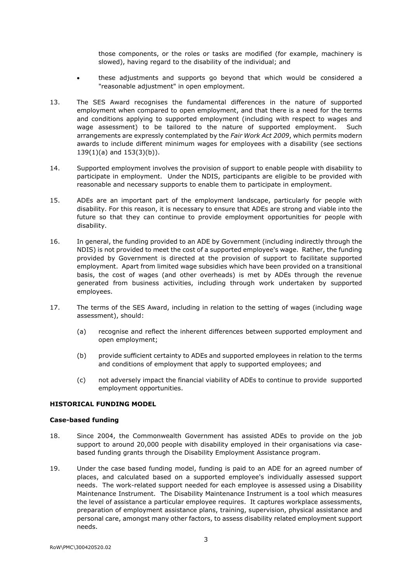those components, or the roles or tasks are modified (for example, machinery is slowed), having regard to the disability of the individual; and

- these adjustments and supports go beyond that which would be considered a "reasonable adjustment" in open employment.
- 13. The SES Award recognises the fundamental differences in the nature of supported employment when compared to open employment, and that there is a need for the terms and conditions applying to supported employment (including with respect to wages and wage assessment) to be tailored to the nature of supported employment. Such arrangements are expressly contemplated by the *Fair Work Act 2009*, which permits modern awards to include different minimum wages for employees with a disability (see sections 139(1)(a) and 153(3)(b)).
- 14. Supported employment involves the provision of support to enable people with disability to participate in employment. Under the NDIS, participants are eligible to be provided with reasonable and necessary supports to enable them to participate in employment.
- 15. ADEs are an important part of the employment landscape, particularly for people with disability. For this reason, it is necessary to ensure that ADEs are strong and viable into the future so that they can continue to provide employment opportunities for people with disability.
- 16. In general, the funding provided to an ADE by Government (including indirectly through the NDIS) is not provided to meet the cost of a supported employee's wage. Rather, the funding provided by Government is directed at the provision of support to facilitate supported employment. Apart from limited wage subsidies which have been provided on a transitional basis, the cost of wages (and other overheads) is met by ADEs through the revenue generated from business activities, including through work undertaken by supported employees.
- 17. The terms of the SES Award, including in relation to the setting of wages (including wage assessment), should:
	- (a) recognise and reflect the inherent differences between supported employment and open employment;
	- (b) provide sufficient certainty to ADEs and supported employees in relation to the terms and conditions of employment that apply to supported employees; and
	- (c) not adversely impact the financial viability of ADEs to continue to provide supported employment opportunities.

#### **HISTORICAL FUNDING MODEL**

#### **Case-based funding**

- 18. Since 2004, the Commonwealth Government has assisted ADEs to provide on the job support to around 20,000 people with disability employed in their organisations via casebased funding grants through the Disability Employment Assistance program.
- 19. Under the case based funding model, funding is paid to an ADE for an agreed number of places, and calculated based on a supported employee's individually assessed support needs. The work-related support needed for each employee is assessed using a Disability Maintenance Instrument. The Disability Maintenance Instrument is a tool which measures the level of assistance a particular employee requires. It captures workplace assessments, preparation of employment assistance plans, training, supervision, physical assistance and personal care, amongst many other factors, to assess disability related employment support needs.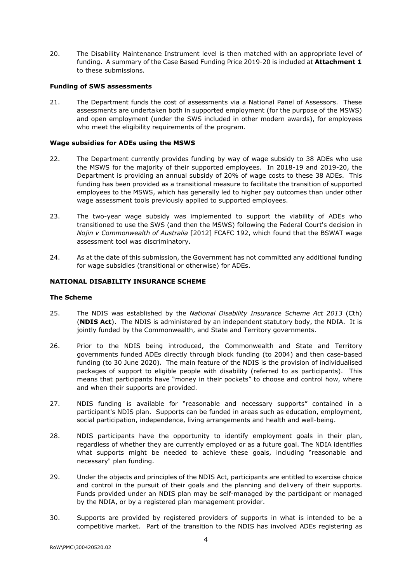20. The Disability Maintenance Instrument level is then matched with an appropriate level of funding. A summary of the Case Based Funding Price 2019-20 is included at **Attachment 1** to these submissions.

#### **Funding of SWS assessments**

21. The Department funds the cost of assessments via a National Panel of Assessors. These assessments are undertaken both in supported employment (for the purpose of the MSWS) and open employment (under the SWS included in other modern awards), for employees who meet the eligibility requirements of the program.

#### **Wage subsidies for ADEs using the MSWS**

- 22. The Department currently provides funding by way of wage subsidy to 38 ADEs who use the MSWS for the majority of their supported employees. In 2018-19 and 2019-20, the Department is providing an annual subsidy of 20% of wage costs to these 38 ADEs. This funding has been provided as a transitional measure to facilitate the transition of supported employees to the MSWS, which has generally led to higher pay outcomes than under other wage assessment tools previously applied to supported employees.
- 23. The two-year wage subsidy was implemented to support the viability of ADEs who transitioned to use the SWS (and then the MSWS) following the Federal Court's decision in *Nojin v Commonwealth of Australia* [2012] FCAFC 192, which found that the BSWAT wage assessment tool was discriminatory.
- 24. As at the date of this submission, the Government has not committed any additional funding for wage subsidies (transitional or otherwise) for ADEs.

#### **NATIONAL DISABILITY INSURANCE SCHEME**

#### **The Scheme**

- 25. The NDIS was established by the *National Disability Insurance Scheme Act 2013* (Cth) (**NDIS Act**). The NDIS is administered by an independent statutory body, the NDIA. It is jointly funded by the Commonwealth, and State and Territory governments.
- 26. Prior to the NDIS being introduced, the Commonwealth and State and Territory governments funded ADEs directly through block funding (to 2004) and then case-based funding (to 30 June 2020). The main feature of the NDIS is the provision of individualised packages of support to eligible people with disability (referred to as participants). This means that participants have "money in their pockets" to choose and control how, where and when their supports are provided.
- 27. NDIS funding is available for "reasonable and necessary supports" contained in a participant's NDIS plan. Supports can be funded in areas such as education, employment, social participation, independence, living arrangements and health and well-being.
- 28. NDIS participants have the opportunity to identify employment goals in their plan, regardless of whether they are currently employed or as a future goal. The NDIA identifies what supports might be needed to achieve these goals, including "reasonable and necessary" plan funding.
- 29. Under the objects and principles of the NDIS Act, participants are entitled to exercise choice and control in the pursuit of their goals and the planning and delivery of their supports. Funds provided under an NDIS plan may be self-managed by the participant or managed by the NDIA, or by a registered plan management provider.
- 30. Supports are provided by registered providers of supports in what is intended to be a competitive market. Part of the transition to the NDIS has involved ADEs registering as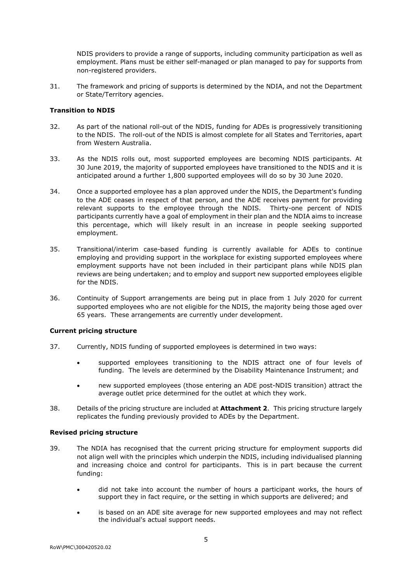NDIS providers to provide a range of supports, including community participation as well as employment. Plans must be either self-managed or plan managed to pay for supports from non-registered providers.

31. The framework and pricing of supports is determined by the NDIA, and not the Department or State/Territory agencies.

#### **Transition to NDIS**

- 32. As part of the national roll-out of the NDIS, funding for ADEs is progressively transitioning to the NDIS. The roll-out of the NDIS is almost complete for all States and Territories, apart from Western Australia.
- 33. As the NDIS rolls out, most supported employees are becoming NDIS participants. At 30 June 2019, the majority of supported employees have transitioned to the NDIS and it is anticipated around a further 1,800 supported employees will do so by 30 June 2020.
- 34. Once a supported employee has a plan approved under the NDIS, the Department's funding to the ADE ceases in respect of that person, and the ADE receives payment for providing relevant supports to the employee through the NDIS. Thirty-one percent of NDIS participants currently have a goal of employment in their plan and the NDIA aims to increase this percentage, which will likely result in an increase in people seeking supported employment.
- 35. Transitional/interim case-based funding is currently available for ADEs to continue employing and providing support in the workplace for existing supported employees where employment supports have not been included in their participant plans while NDIS plan reviews are being undertaken; and to employ and support new supported employees eligible for the NDIS.
- 36. Continuity of Support arrangements are being put in place from 1 July 2020 for current supported employees who are not eligible for the NDIS, the majority being those aged over 65 years. These arrangements are currently under development.

### **Current pricing structure**

- 37. Currently, NDIS funding of supported employees is determined in two ways:
	- supported employees transitioning to the NDIS attract one of four levels of funding. The levels are determined by the Disability Maintenance Instrument; and
	- new supported employees (those entering an ADE post-NDIS transition) attract the average outlet price determined for the outlet at which they work.
- 38. Details of the pricing structure are included at **Attachment 2**. This pricing structure largely replicates the funding previously provided to ADEs by the Department.

#### **Revised pricing structure**

- 39. The NDIA has recognised that the current pricing structure for employment supports did not align well with the principles which underpin the NDIS, including individualised planning and increasing choice and control for participants. This is in part because the current funding:
	- did not take into account the number of hours a participant works, the hours of support they in fact require, or the setting in which supports are delivered; and
	- is based on an ADE site average for new supported employees and may not reflect the individual's actual support needs.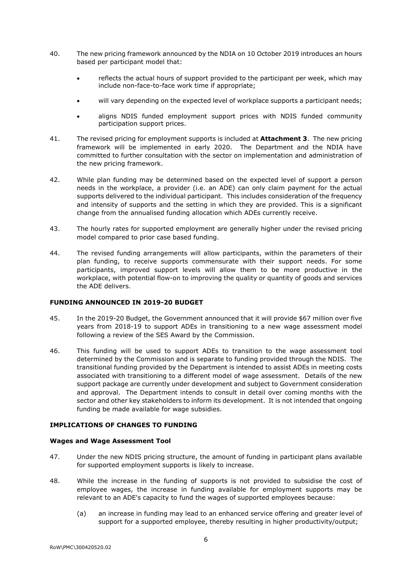- 40. The new pricing framework announced by the NDIA on 10 October 2019 introduces an hours based per participant model that:
	- reflects the actual hours of support provided to the participant per week, which may include non-face-to-face work time if appropriate;
	- will vary depending on the expected level of workplace supports a participant needs;
	- aligns NDIS funded employment support prices with NDIS funded community participation support prices.
- 41. The revised pricing for employment supports is included at **Attachment 3**. The new pricing framework will be implemented in early 2020. The Department and the NDIA have committed to further consultation with the sector on implementation and administration of the new pricing framework.
- 42. While plan funding may be determined based on the expected level of support a person needs in the workplace, a provider (i.e. an ADE) can only claim payment for the actual supports delivered to the individual participant. This includes consideration of the frequency and intensity of supports and the setting in which they are provided. This is a significant change from the annualised funding allocation which ADEs currently receive.
- 43. The hourly rates for supported employment are generally higher under the revised pricing model compared to prior case based funding.
- 44. The revised funding arrangements will allow participants, within the parameters of their plan funding, to receive supports commensurate with their support needs. For some participants, improved support levels will allow them to be more productive in the workplace, with potential flow-on to improving the quality or quantity of goods and services the ADE delivers.

#### **FUNDING ANNOUNCED IN 2019-20 BUDGET**

- 45. In the 2019-20 Budget, the Government announced that it will provide \$67 million over five years from 2018-19 to support ADEs in transitioning to a new wage assessment model following a review of the SES Award by the Commission.
- 46. This funding will be used to support ADEs to transition to the wage assessment tool determined by the Commission and is separate to funding provided through the NDIS. The transitional funding provided by the Department is intended to assist ADEs in meeting costs associated with transitioning to a different model of wage assessment. Details of the new support package are currently under development and subject to Government consideration and approval. The Department intends to consult in detail over coming months with the sector and other key stakeholders to inform its development. It is not intended that ongoing funding be made available for wage subsidies.

### **IMPLICATIONS OF CHANGES TO FUNDING**

#### **Wages and Wage Assessment Tool**

- 47. Under the new NDIS pricing structure, the amount of funding in participant plans available for supported employment supports is likely to increase.
- 48. While the increase in the funding of supports is not provided to subsidise the cost of employee wages, the increase in funding available for employment supports may be relevant to an ADE's capacity to fund the wages of supported employees because:
	- (a) an increase in funding may lead to an enhanced service offering and greater level of support for a supported employee, thereby resulting in higher productivity/output;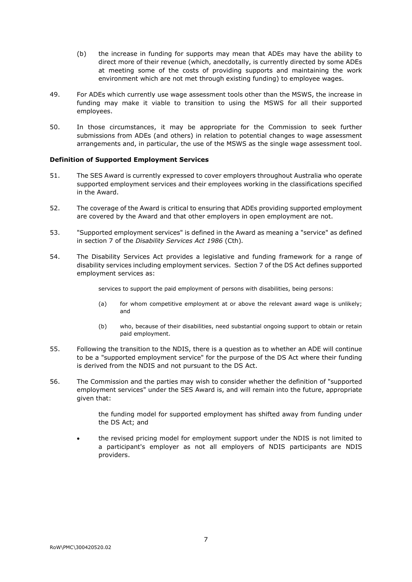- (b) the increase in funding for supports may mean that ADEs may have the ability to direct more of their revenue (which, anecdotally, is currently directed by some ADEs at meeting some of the costs of providing supports and maintaining the work environment which are not met through existing funding) to employee wages.
- 49. For ADEs which currently use wage assessment tools other than the MSWS, the increase in funding may make it viable to transition to using the MSWS for all their supported employees.
- 50. In those circumstances, it may be appropriate for the Commission to seek further submissions from ADEs (and others) in relation to potential changes to wage assessment arrangements and, in particular, the use of the MSWS as the single wage assessment tool.

#### **Definition of Supported Employment Services**

- 51. The SES Award is currently expressed to cover employers throughout Australia who operate supported employment services and their employees working in the classifications specified in the Award.
- 52. The coverage of the Award is critical to ensuring that ADEs providing supported employment are covered by the Award and that other employers in open employment are not.
- <span id="page-7-0"></span>53. "Supported employment services" is defined in the Award as meaning a "service" as defined in section 7 of the *Disability Services Act 1986* (Cth)*.*
- <span id="page-7-1"></span>54. The Disability Services Act provides a legislative and funding framework for a range of disability services including employment services. Section 7 of the DS Act defines supported employment services as:

services to support the paid employment of persons with disabilities, being persons:

- (a) for whom competitive employment at or above the relevant award wage is unlikely; and
- (b) who, because of their disabilities, need substantial ongoing support to obtain or retain paid employment.
- 55. Following the transition to the NDIS, there is a question as to whether an ADE will continue to be a "supported employment service" for the purpose of the DS Act where their funding is derived from the NDIS and not pursuant to the DS Act.
- 56. The Commission and the parties may wish to consider whether the definition of "supported employment services" under the SES Award is, and will remain into the future, appropriate given that:

the funding model for supported employment has shifted away from funding under the DS Act; and

• the revised pricing model for employment support under the NDIS is not limited to a participant's employer as not all employers of NDIS participants are NDIS providers.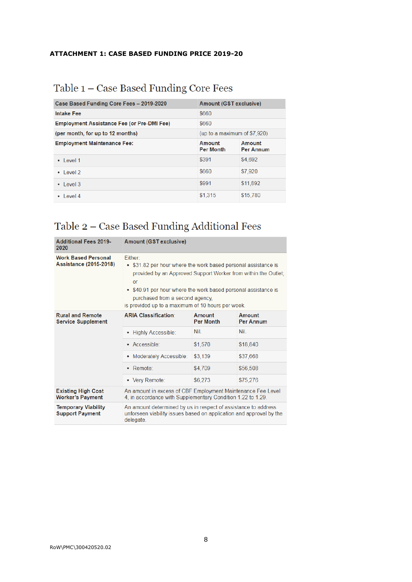## **ATTACHMENT 1: CASE BASED FUNDING PRICE 2019-20**

# Table 1 - Case Based Funding Core Fees

| Case Based Funding Core Fees - 2019-2020                   |                              | Amount (GST exclusive)     |  |  |  |
|------------------------------------------------------------|------------------------------|----------------------------|--|--|--|
| <b>Intake Fee</b>                                          | \$660                        |                            |  |  |  |
| \$660<br><b>Employment Assistance Fee (or Pre-DMI Fee)</b> |                              |                            |  |  |  |
| (per month, for up to 12 months)                           | (up to a maximum of \$7,920) |                            |  |  |  |
| <b>Employment Maintenance Fee:</b>                         | Amount<br><b>Per Month</b>   | Amount<br><b>Per Annum</b> |  |  |  |
| $\cdot$ level 1                                            | \$391                        | \$4,692                    |  |  |  |
| $\cdot$ level 2                                            | \$660                        | \$7,920                    |  |  |  |
| $\cdot$ level 3                                            | \$991                        | \$11,892                   |  |  |  |
| Level 4                                                    | \$1.315                      | \$15,780                   |  |  |  |

# Table 2 - Case Based Funding Additional Fees

| <b>Additional Fees 2019-</b><br>2020                 | Amount (GST exclusive)                                                                                                                                                                                                                                                                                      |                            |                            |  |  |  |
|------------------------------------------------------|-------------------------------------------------------------------------------------------------------------------------------------------------------------------------------------------------------------------------------------------------------------------------------------------------------------|----------------------------|----------------------------|--|--|--|
| <b>Work Based Personal</b><br>Assistance (2015-2018) | Either:<br>• \$31.82 per hour where the work based personal assistance is<br>provided by an Approved Support Worker from within the Outlet;<br>or<br>• \$40.91 per hour where the work based personal assistance is<br>purchased from a second agency,<br>is provided up to a maximum of 10 hours per week. |                            |                            |  |  |  |
| <b>Rural and Remote</b><br><b>Service Supplement</b> | <b>ARIA Classification:</b>                                                                                                                                                                                                                                                                                 | Amount<br><b>Per Month</b> | Amount<br><b>Per Annum</b> |  |  |  |
|                                                      | • Highly Accessible:                                                                                                                                                                                                                                                                                        | Nil.                       | Nil.                       |  |  |  |
|                                                      | • Accessible:                                                                                                                                                                                                                                                                                               | \$1,570                    | \$18,840                   |  |  |  |
|                                                      | Moderately Accessible:                                                                                                                                                                                                                                                                                      | \$3,139                    | \$37,668                   |  |  |  |
|                                                      | • Remote:                                                                                                                                                                                                                                                                                                   | \$4,709                    | \$56,508                   |  |  |  |
|                                                      | • Very Remote:                                                                                                                                                                                                                                                                                              | \$6,273<br>\$75,276        |                            |  |  |  |
| <b>Existing High Cost</b><br><b>Worker's Payment</b> | An amount in excess of CBF Employment Maintenance Fee Level<br>4, in accordance with Supplementary Condition 1.22 to 1.29.                                                                                                                                                                                  |                            |                            |  |  |  |
| <b>Temporary Viability</b><br><b>Support Payment</b> | An amount determined by us in respect of assistance to address<br>unforseen viability issues based on application and approval by the<br>delegate.                                                                                                                                                          |                            |                            |  |  |  |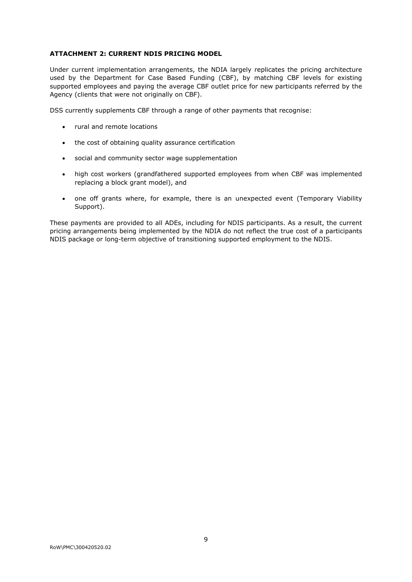# **ATTACHMENT 2: CURRENT NDIS PRICING MODEL**

Under current implementation arrangements, the NDIA largely replicates the pricing architecture used by the Department for Case Based Funding (CBF), by matching CBF levels for existing supported employees and paying the average CBF outlet price for new participants referred by the Agency (clients that were not originally on CBF).

DSS currently supplements CBF through a range of other payments that recognise:

- rural and remote locations
- the cost of obtaining quality assurance certification
- social and community sector wage supplementation
- high cost workers (grandfathered supported employees from when CBF was implemented replacing a block grant model), and
- one off grants where, for example, there is an unexpected event (Temporary Viability Support).

These payments are provided to all ADEs, including for NDIS participants. As a result, the current pricing arrangements being implemented by the NDIA do not reflect the true cost of a participants NDIS package or long-term objective of transitioning supported employment to the NDIS.